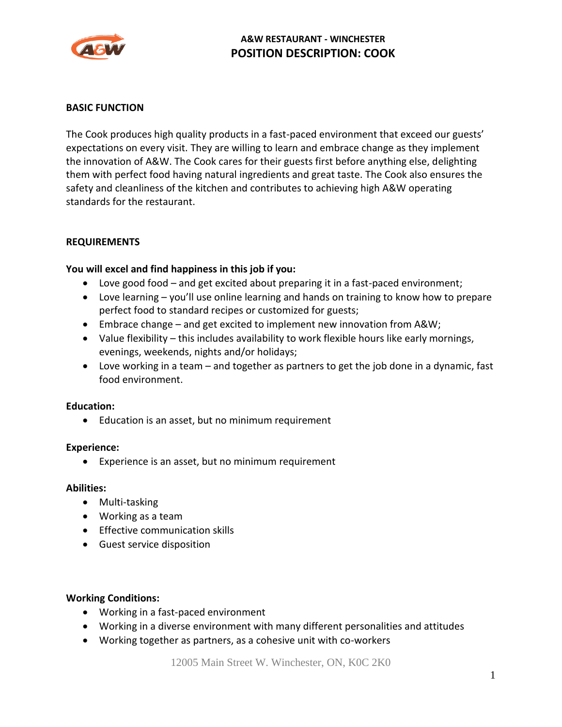

# **A&W RESTAURANT - WINCHESTER POSITION DESCRIPTION: COOK**

### **BASIC FUNCTION**

The Cook produces high quality products in a fast-paced environment that exceed our guests' expectations on every visit. They are willing to learn and embrace change as they implement the innovation of A&W. The Cook cares for their guests first before anything else, delighting them with perfect food having natural ingredients and great taste. The Cook also ensures the safety and cleanliness of the kitchen and contributes to achieving high A&W operating standards for the restaurant.

### **REQUIREMENTS**

### **You will excel and find happiness in this job if you:**

- Love good food and get excited about preparing it in a fast-paced environment;
- Love learning you'll use online learning and hands on training to know how to prepare perfect food to standard recipes or customized for guests;
- Embrace change and get excited to implement new innovation from A&W;
- Value flexibility this includes availability to work flexible hours like early mornings, evenings, weekends, nights and/or holidays;
- Love working in a team and together as partners to get the job done in a dynamic, fast food environment.

#### **Education:**

• Education is an asset, but no minimum requirement

#### **Experience:**

• Experience is an asset, but no minimum requirement

#### **Abilities:**

- Multi-tasking
- Working as a team
- Effective communication skills
- Guest service disposition

#### **Working Conditions:**

- Working in a fast-paced environment
- Working in a diverse environment with many different personalities and attitudes
- Working together as partners, as a cohesive unit with co-workers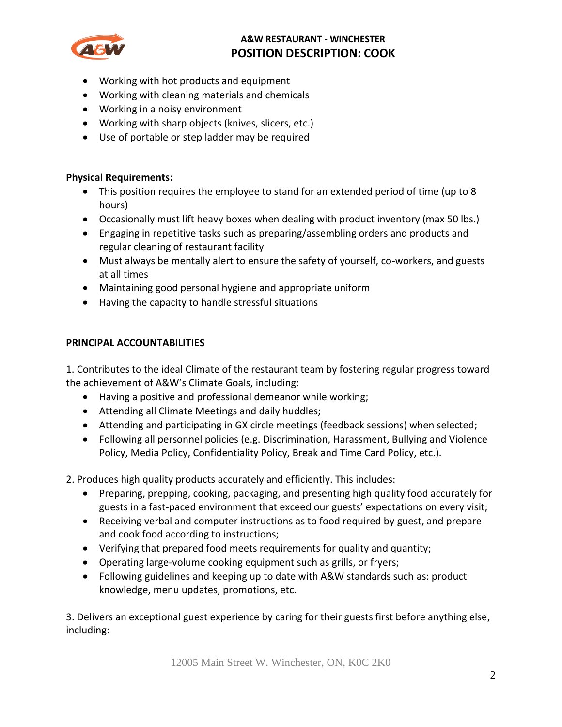

# **A&W RESTAURANT - WINCHESTER POSITION DESCRIPTION: COOK**

- Working with hot products and equipment
- Working with cleaning materials and chemicals
- Working in a noisy environment
- Working with sharp objects (knives, slicers, etc.)
- Use of portable or step ladder may be required

## **Physical Requirements:**

- This position requires the employee to stand for an extended period of time (up to 8 hours)
- Occasionally must lift heavy boxes when dealing with product inventory (max 50 lbs.)
- Engaging in repetitive tasks such as preparing/assembling orders and products and regular cleaning of restaurant facility
- Must always be mentally alert to ensure the safety of yourself, co-workers, and guests at all times
- Maintaining good personal hygiene and appropriate uniform
- Having the capacity to handle stressful situations

## **PRINCIPAL ACCOUNTABILITIES**

1. Contributes to the ideal Climate of the restaurant team by fostering regular progress toward the achievement of A&W's Climate Goals, including:

- Having a positive and professional demeanor while working;
- Attending all Climate Meetings and daily huddles;
- Attending and participating in GX circle meetings (feedback sessions) when selected;
- Following all personnel policies (e.g. Discrimination, Harassment, Bullying and Violence Policy, Media Policy, Confidentiality Policy, Break and Time Card Policy, etc.).

2. Produces high quality products accurately and efficiently. This includes:

- Preparing, prepping, cooking, packaging, and presenting high quality food accurately for guests in a fast-paced environment that exceed our guests' expectations on every visit;
- Receiving verbal and computer instructions as to food required by guest, and prepare and cook food according to instructions;
- Verifying that prepared food meets requirements for quality and quantity;
- Operating large-volume cooking equipment such as grills, or fryers;
- Following guidelines and keeping up to date with A&W standards such as: product knowledge, menu updates, promotions, etc.

3. Delivers an exceptional guest experience by caring for their guests first before anything else, including: